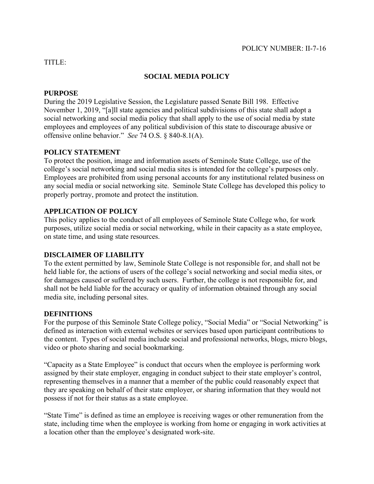## TITLE:

# **SOCIAL MEDIA POLICY**

### **PURPOSE**

During the 2019 Legislative Session, the Legislature passed Senate Bill 198. Effective November 1, 2019, "[a]ll state agencies and political subdivisions of this state shall adopt a social networking and social media policy that shall apply to the use of social media by state employees and employees of any political subdivision of this state to discourage abusive or offensive online behavior." *See* 74 O.S. § 840-8.1(A).

## **POLICY STATEMENT**

To protect the position, image and information assets of Seminole State College, use of the college's social networking and social media sites is intended for the college's purposes only. Employees are prohibited from using personal accounts for any institutional related business on any social media or social networking site. Seminole State College has developed this policy to properly portray, promote and protect the institution.

## **APPLICATION OF POLICY**

This policy applies to the conduct of all employees of Seminole State College who, for work purposes, utilize social media or social networking, while in their capacity as a state employee, on state time, and using state resources.

#### **DISCLAIMER OF LIABILITY**

To the extent permitted by law, Seminole State College is not responsible for, and shall not be held liable for, the actions of users of the college's social networking and social media sites, or for damages caused or suffered by such users. Further, the college is not responsible for, and shall not be held liable for the accuracy or quality of information obtained through any social media site, including personal sites.

#### **DEFINITIONS**

For the purpose of this Seminole State College policy, "Social Media" or "Social Networking" is defined as interaction with external websites or services based upon participant contributions to the content. Types of social media include social and professional networks, blogs, micro blogs, video or photo sharing and social bookmarking.

"Capacity as a State Employee" is conduct that occurs when the employee is performing work assigned by their state employer, engaging in conduct subject to their state employer's control, representing themselves in a manner that a member of the public could reasonably expect that they are speaking on behalf of their state employer, or sharing information that they would not possess if not for their status as a state employee.

"State Time" is defined as time an employee is receiving wages or other remuneration from the state, including time when the employee is working from home or engaging in work activities at a location other than the employee's designated work-site.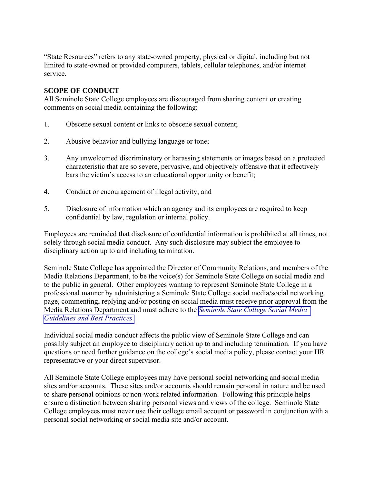"State Resources" refers to any state-owned property, physical or digital, including but not limited to state-owned or provided computers, tablets, cellular telephones, and/or internet service.

## **SCOPE OF CONDUCT**

All Seminole State College employees are discouraged from sharing content or creating comments on social media containing the following:

- 1. Obscene sexual content or links to obscene sexual content;
- 2. Abusive behavior and bullying language or tone;
- 3. Any unwelcomed discriminatory or harassing statements or images based on a protected characteristic that are so severe, pervasive, and objectively offensive that it effectively bars the victim's access to an educational opportunity or benefit;
- 4. Conduct or encouragement of illegal activity; and
- 5. Disclosure of information which an agency and its employees are required to keep confidential by law, regulation or internal policy.

Employees are reminded that disclosure of confidential information is prohibited at all times, not solely through social media conduct. Any such disclosure may subject the employee to disciplinary action up to and including termination.

Seminole State College has appointed the Director of Community Relations, and members of the Media Relations Department, to be the voice(s) for Seminole State College on social media and to the public in general. Other employees wanting to represent Seminole State College in a professional manner by administering a Seminole State College social media/social networking page, commenting, replying and/or posting on social media must receive prior approval from the Media Relations Department and must adhere to the *Seminole State [College Social Media](http://www.sscok.edu/Compliance/SSCSocialMediaGuidelinesBestPractices.pdf) [Guidelines and](http://www.sscok.edu/Compliance/SSCSocialMediaGuidelinesBestPractices.pdf) Best Practices.* 

Individual social media conduct affects the public view of Seminole State College and can possibly subject an employee to disciplinary action up to and including termination. If you have questions or need further guidance on the college's social media policy, please contact your HR representative or your direct supervisor.

All Seminole State College employees may have personal social networking and social media sites and/or accounts. These sites and/or accounts should remain personal in nature and be used to share personal opinions or non-work related information. Following this principle helps ensure a distinction between sharing personal views and views of the college. Seminole State College employees must never use their college email account or password in conjunction with a personal social networking or social media site and/or account.